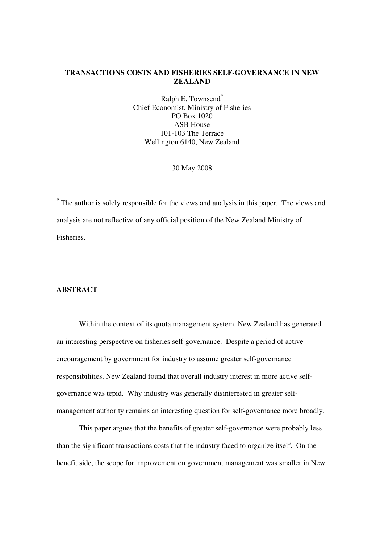## **TRANSACTIONS COSTS AND FISHERIES SELF-GOVERNANCE IN NEW ZEALAND**

Ralph E. Townsend<sup>\*</sup> Chief Economist, Ministry of Fisheries PO Box 1020 ASB House 101-103 The Terrace Wellington 6140, New Zealand

30 May 2008

**\*** The author is solely responsible for the views and analysis in this paper. The views and analysis are not reflective of any official position of the New Zealand Ministry of Fisheries.

# **ABSTRACT**

Within the context of its quota management system, New Zealand has generated an interesting perspective on fisheries self-governance. Despite a period of active encouragement by government for industry to assume greater self-governance responsibilities, New Zealand found that overall industry interest in more active selfgovernance was tepid. Why industry was generally disinterested in greater selfmanagement authority remains an interesting question for self-governance more broadly.

This paper argues that the benefits of greater self-governance were probably less than the significant transactions costs that the industry faced to organize itself. On the benefit side, the scope for improvement on government management was smaller in New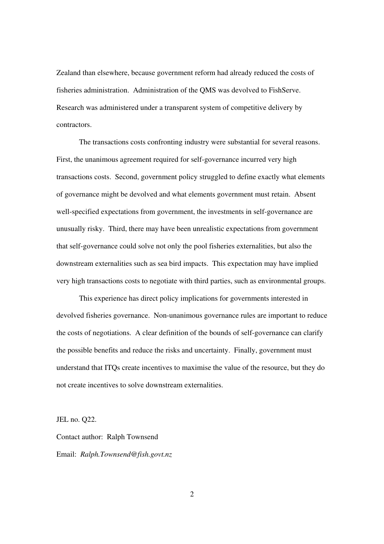Zealand than elsewhere, because government reform had already reduced the costs of fisheries administration. Administration of the QMS was devolved to FishServe. Research was administered under a transparent system of competitive delivery by contractors.

The transactions costs confronting industry were substantial for several reasons. First, the unanimous agreement required for self-governance incurred very high transactions costs. Second, government policy struggled to define exactly what elements of governance might be devolved and what elements government must retain. Absent well-specified expectations from government, the investments in self-governance are unusually risky. Third, there may have been unrealistic expectations from government that self-governance could solve not only the pool fisheries externalities, but also the downstream externalities such as sea bird impacts. This expectation may have implied very high transactions costs to negotiate with third parties, such as environmental groups.

This experience has direct policy implications for governments interested in devolved fisheries governance. Non-unanimous governance rules are important to reduce the costs of negotiations. A clear definition of the bounds of self-governance can clarify the possible benefits and reduce the risks and uncertainty. Finally, government must understand that ITQs create incentives to maximise the value of the resource, but they do not create incentives to solve downstream externalities.

JEL no. Q22.

Contact author: Ralph Townsend Email: *Ralph.Townsend@fish.govt.nz*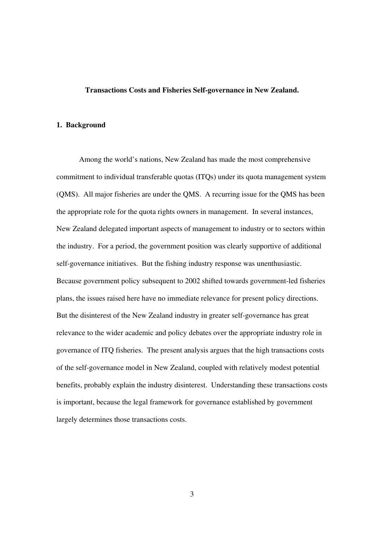#### **Transactions Costs and Fisheries Self-governance in New Zealand.**

### **1. Background**

Among the world's nations, New Zealand has made the most comprehensive commitment to individual transferable quotas (ITQs) under its quota management system (QMS). All major fisheries are under the QMS. A recurring issue for the QMS has been the appropriate role for the quota rights owners in management. In several instances, New Zealand delegated important aspects of management to industry or to sectors within the industry. For a period, the government position was clearly supportive of additional self-governance initiatives. But the fishing industry response was unenthusiastic. Because government policy subsequent to 2002 shifted towards government-led fisheries plans, the issues raised here have no immediate relevance for present policy directions. But the disinterest of the New Zealand industry in greater self-governance has great relevance to the wider academic and policy debates over the appropriate industry role in governance of ITQ fisheries. The present analysis argues that the high transactions costs of the self-governance model in New Zealand, coupled with relatively modest potential benefits, probably explain the industry disinterest. Understanding these transactions costs is important, because the legal framework for governance established by government largely determines those transactions costs.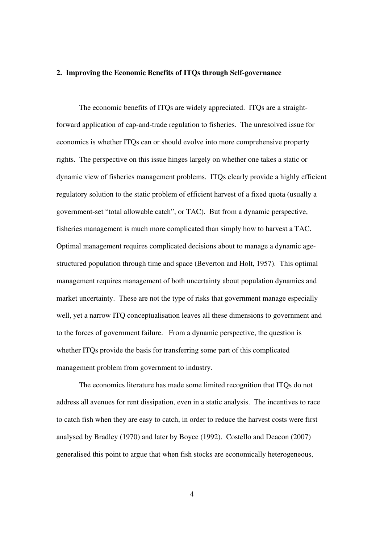#### **2. Improving the Economic Benefits of ITQs through Self-governance**

The economic benefits of ITQs are widely appreciated. ITQs are a straightforward application of cap-and-trade regulation to fisheries. The unresolved issue for economics is whether ITQs can or should evolve into more comprehensive property rights. The perspective on this issue hinges largely on whether one takes a static or dynamic view of fisheries management problems. ITQs clearly provide a highly efficient regulatory solution to the static problem of efficient harvest of a fixed quota (usually a government-set "total allowable catch", or TAC). But from a dynamic perspective, fisheries management is much more complicated than simply how to harvest a TAC. Optimal management requires complicated decisions about to manage a dynamic agestructured population through time and space (Beverton and Holt, 1957). This optimal management requires management of both uncertainty about population dynamics and market uncertainty. These are not the type of risks that government manage especially well, yet a narrow ITQ conceptualisation leaves all these dimensions to government and to the forces of government failure. From a dynamic perspective, the question is whether ITQs provide the basis for transferring some part of this complicated management problem from government to industry.

The economics literature has made some limited recognition that ITQs do not address all avenues for rent dissipation, even in a static analysis. The incentives to race to catch fish when they are easy to catch, in order to reduce the harvest costs were first analysed by Bradley (1970) and later by Boyce (1992). Costello and Deacon (2007) generalised this point to argue that when fish stocks are economically heterogeneous,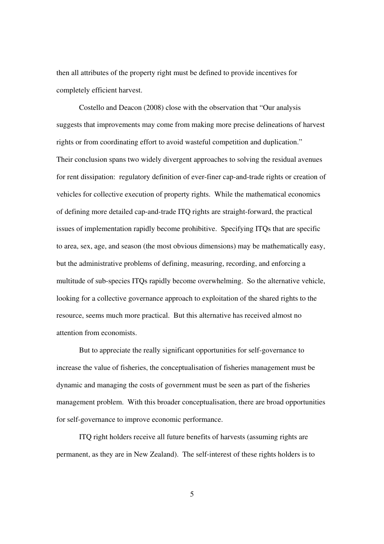then all attributes of the property right must be defined to provide incentives for completely efficient harvest.

Costello and Deacon (2008) close with the observation that "Our analysis suggests that improvements may come from making more precise delineations of harvest rights or from coordinating effort to avoid wasteful competition and duplication." Their conclusion spans two widely divergent approaches to solving the residual avenues for rent dissipation: regulatory definition of ever-finer cap-and-trade rights or creation of vehicles for collective execution of property rights. While the mathematical economics of defining more detailed cap-and-trade ITQ rights are straight-forward, the practical issues of implementation rapidly become prohibitive. Specifying ITQs that are specific to area, sex, age, and season (the most obvious dimensions) may be mathematically easy, but the administrative problems of defining, measuring, recording, and enforcing a multitude of sub-species ITQs rapidly become overwhelming. So the alternative vehicle, looking for a collective governance approach to exploitation of the shared rights to the resource, seems much more practical. But this alternative has received almost no attention from economists.

But to appreciate the really significant opportunities for self-governance to increase the value of fisheries, the conceptualisation of fisheries management must be dynamic and managing the costs of government must be seen as part of the fisheries management problem. With this broader conceptualisation, there are broad opportunities for self-governance to improve economic performance.

ITQ right holders receive all future benefits of harvests (assuming rights are permanent, as they are in New Zealand). The self-interest of these rights holders is to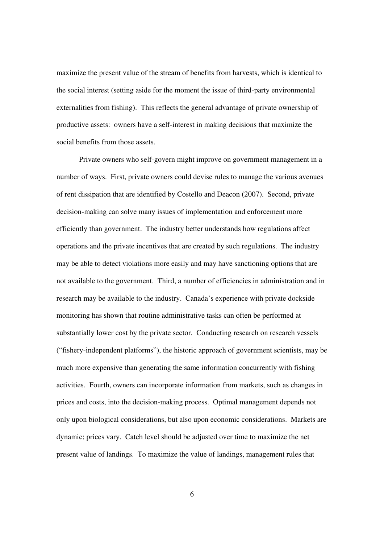maximize the present value of the stream of benefits from harvests, which is identical to the social interest (setting aside for the moment the issue of third-party environmental externalities from fishing). This reflects the general advantage of private ownership of productive assets: owners have a self-interest in making decisions that maximize the social benefits from those assets.

Private owners who self-govern might improve on government management in a number of ways. First, private owners could devise rules to manage the various avenues of rent dissipation that are identified by Costello and Deacon (2007). Second, private decision-making can solve many issues of implementation and enforcement more efficiently than government. The industry better understands how regulations affect operations and the private incentives that are created by such regulations. The industry may be able to detect violations more easily and may have sanctioning options that are not available to the government. Third, a number of efficiencies in administration and in research may be available to the industry. Canada's experience with private dockside monitoring has shown that routine administrative tasks can often be performed at substantially lower cost by the private sector. Conducting research on research vessels ("fishery-independent platforms"), the historic approach of government scientists, may be much more expensive than generating the same information concurrently with fishing activities. Fourth, owners can incorporate information from markets, such as changes in prices and costs, into the decision-making process. Optimal management depends not only upon biological considerations, but also upon economic considerations. Markets are dynamic; prices vary. Catch level should be adjusted over time to maximize the net present value of landings. To maximize the value of landings, management rules that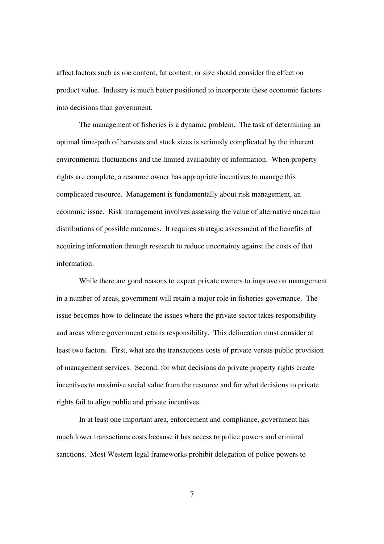affect factors such as roe content, fat content, or size should consider the effect on product value. Industry is much better positioned to incorporate these economic factors into decisions than government.

The management of fisheries is a dynamic problem. The task of determining an optimal time-path of harvests and stock sizes is seriously complicated by the inherent environmental fluctuations and the limited availability of information. When property rights are complete, a resource owner has appropriate incentives to manage this complicated resource. Management is fundamentally about risk management, an economic issue. Risk management involves assessing the value of alternative uncertain distributions of possible outcomes. It requires strategic assessment of the benefits of acquiring information through research to reduce uncertainty against the costs of that information.

While there are good reasons to expect private owners to improve on management in a number of areas, government will retain a major role in fisheries governance. The issue becomes how to delineate the issues where the private sector takes responsibility and areas where government retains responsibility. This delineation must consider at least two factors. First, what are the transactions costs of private versus public provision of management services. Second, for what decisions do private property rights create incentives to maximise social value from the resource and for what decisions to private rights fail to align public and private incentives.

In at least one important area, enforcement and compliance, government has much lower transactions costs because it has access to police powers and criminal sanctions. Most Western legal frameworks prohibit delegation of police powers to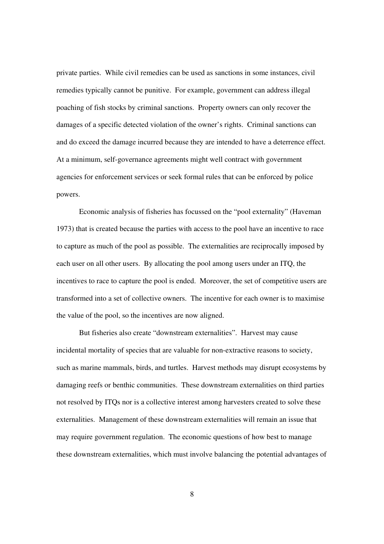private parties. While civil remedies can be used as sanctions in some instances, civil remedies typically cannot be punitive. For example, government can address illegal poaching of fish stocks by criminal sanctions. Property owners can only recover the damages of a specific detected violation of the owner's rights. Criminal sanctions can and do exceed the damage incurred because they are intended to have a deterrence effect. At a minimum, self-governance agreements might well contract with government agencies for enforcement services or seek formal rules that can be enforced by police powers.

Economic analysis of fisheries has focussed on the "pool externality" (Haveman 1973) that is created because the parties with access to the pool have an incentive to race to capture as much of the pool as possible. The externalities are reciprocally imposed by each user on all other users. By allocating the pool among users under an ITQ, the incentives to race to capture the pool is ended. Moreover, the set of competitive users are transformed into a set of collective owners. The incentive for each owner is to maximise the value of the pool, so the incentives are now aligned.

But fisheries also create "downstream externalities". Harvest may cause incidental mortality of species that are valuable for non-extractive reasons to society, such as marine mammals, birds, and turtles. Harvest methods may disrupt ecosystems by damaging reefs or benthic communities. These downstream externalities on third parties not resolved by ITQs nor is a collective interest among harvesters created to solve these externalities. Management of these downstream externalities will remain an issue that may require government regulation. The economic questions of how best to manage these downstream externalities, which must involve balancing the potential advantages of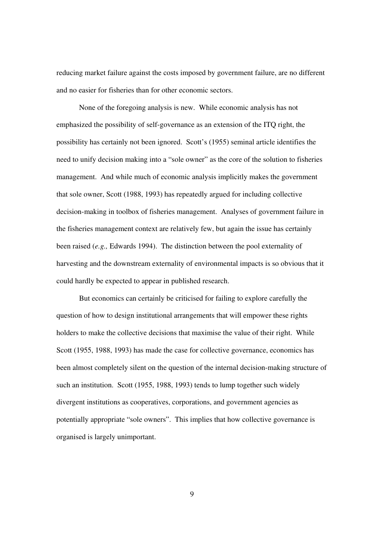reducing market failure against the costs imposed by government failure, are no different and no easier for fisheries than for other economic sectors.

None of the foregoing analysis is new. While economic analysis has not emphasized the possibility of self-governance as an extension of the ITQ right, the possibility has certainly not been ignored. Scott's (1955) seminal article identifies the need to unify decision making into a "sole owner" as the core of the solution to fisheries management. And while much of economic analysis implicitly makes the government that sole owner, Scott (1988, 1993) has repeatedly argued for including collective decision-making in toolbox of fisheries management. Analyses of government failure in the fisheries management context are relatively few, but again the issue has certainly been raised (*e.g.,* Edwards 1994). The distinction between the pool externality of harvesting and the downstream externality of environmental impacts is so obvious that it could hardly be expected to appear in published research.

But economics can certainly be criticised for failing to explore carefully the question of how to design institutional arrangements that will empower these rights holders to make the collective decisions that maximise the value of their right. While Scott (1955, 1988, 1993) has made the case for collective governance, economics has been almost completely silent on the question of the internal decision-making structure of such an institution. Scott (1955, 1988, 1993) tends to lump together such widely divergent institutions as cooperatives, corporations, and government agencies as potentially appropriate "sole owners". This implies that how collective governance is organised is largely unimportant.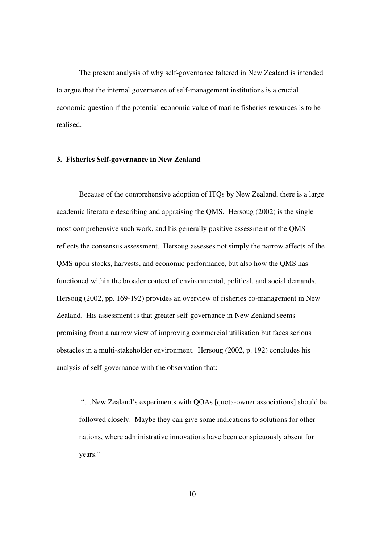The present analysis of why self-governance faltered in New Zealand is intended to argue that the internal governance of self-management institutions is a crucial economic question if the potential economic value of marine fisheries resources is to be realised.

## **3. Fisheries Self-governance in New Zealand**

Because of the comprehensive adoption of ITQs by New Zealand, there is a large academic literature describing and appraising the QMS. Hersoug (2002) is the single most comprehensive such work, and his generally positive assessment of the QMS reflects the consensus assessment. Hersoug assesses not simply the narrow affects of the QMS upon stocks, harvests, and economic performance, but also how the QMS has functioned within the broader context of environmental, political, and social demands. Hersoug (2002, pp. 169-192) provides an overview of fisheries co-management in New Zealand. His assessment is that greater self-governance in New Zealand seems promising from a narrow view of improving commercial utilisation but faces serious obstacles in a multi-stakeholder environment. Hersoug (2002, p. 192) concludes his analysis of self-governance with the observation that:

 "…New Zealand's experiments with QOAs [quota-owner associations] should be followed closely. Maybe they can give some indications to solutions for other nations, where administrative innovations have been conspicuously absent for years."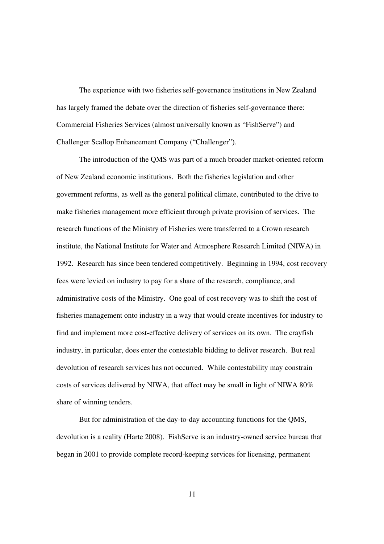The experience with two fisheries self-governance institutions in New Zealand has largely framed the debate over the direction of fisheries self-governance there: Commercial Fisheries Services (almost universally known as "FishServe") and Challenger Scallop Enhancement Company ("Challenger").

The introduction of the QMS was part of a much broader market-oriented reform of New Zealand economic institutions. Both the fisheries legislation and other government reforms, as well as the general political climate, contributed to the drive to make fisheries management more efficient through private provision of services. The research functions of the Ministry of Fisheries were transferred to a Crown research institute, the National Institute for Water and Atmosphere Research Limited (NIWA) in 1992. Research has since been tendered competitively. Beginning in 1994, cost recovery fees were levied on industry to pay for a share of the research, compliance, and administrative costs of the Ministry. One goal of cost recovery was to shift the cost of fisheries management onto industry in a way that would create incentives for industry to find and implement more cost-effective delivery of services on its own. The crayfish industry, in particular, does enter the contestable bidding to deliver research. But real devolution of research services has not occurred. While contestability may constrain costs of services delivered by NIWA, that effect may be small in light of NIWA 80% share of winning tenders.

But for administration of the day-to-day accounting functions for the QMS, devolution is a reality (Harte 2008). FishServe is an industry-owned service bureau that began in 2001 to provide complete record-keeping services for licensing, permanent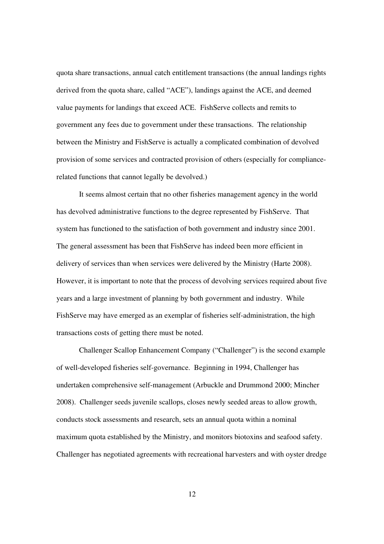quota share transactions, annual catch entitlement transactions (the annual landings rights derived from the quota share, called "ACE"), landings against the ACE, and deemed value payments for landings that exceed ACE. FishServe collects and remits to government any fees due to government under these transactions. The relationship between the Ministry and FishServe is actually a complicated combination of devolved provision of some services and contracted provision of others (especially for compliancerelated functions that cannot legally be devolved.)

It seems almost certain that no other fisheries management agency in the world has devolved administrative functions to the degree represented by FishServe. That system has functioned to the satisfaction of both government and industry since 2001. The general assessment has been that FishServe has indeed been more efficient in delivery of services than when services were delivered by the Ministry (Harte 2008). However, it is important to note that the process of devolving services required about five years and a large investment of planning by both government and industry. While FishServe may have emerged as an exemplar of fisheries self-administration, the high transactions costs of getting there must be noted.

Challenger Scallop Enhancement Company ("Challenger") is the second example of well-developed fisheries self-governance. Beginning in 1994, Challenger has undertaken comprehensive self-management (Arbuckle and Drummond 2000; Mincher 2008). Challenger seeds juvenile scallops, closes newly seeded areas to allow growth, conducts stock assessments and research, sets an annual quota within a nominal maximum quota established by the Ministry, and monitors biotoxins and seafood safety. Challenger has negotiated agreements with recreational harvesters and with oyster dredge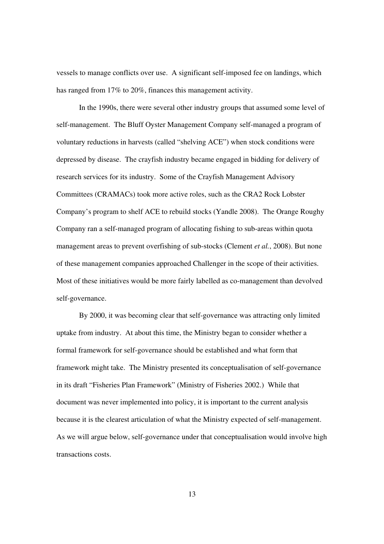vessels to manage conflicts over use. A significant self-imposed fee on landings, which has ranged from 17% to 20%, finances this management activity.

In the 1990s, there were several other industry groups that assumed some level of self-management. The Bluff Oyster Management Company self-managed a program of voluntary reductions in harvests (called "shelving ACE") when stock conditions were depressed by disease. The crayfish industry became engaged in bidding for delivery of research services for its industry. Some of the Crayfish Management Advisory Committees (CRAMACs) took more active roles, such as the CRA2 Rock Lobster Company's program to shelf ACE to rebuild stocks (Yandle 2008). The Orange Roughy Company ran a self-managed program of allocating fishing to sub-areas within quota management areas to prevent overfishing of sub-stocks (Clement *et al.*, 2008). But none of these management companies approached Challenger in the scope of their activities. Most of these initiatives would be more fairly labelled as co-management than devolved self-governance.

By 2000, it was becoming clear that self-governance was attracting only limited uptake from industry. At about this time, the Ministry began to consider whether a formal framework for self-governance should be established and what form that framework might take. The Ministry presented its conceptualisation of self-governance in its draft "Fisheries Plan Framework" (Ministry of Fisheries 2002.) While that document was never implemented into policy, it is important to the current analysis because it is the clearest articulation of what the Ministry expected of self-management. As we will argue below, self-governance under that conceptualisation would involve high transactions costs.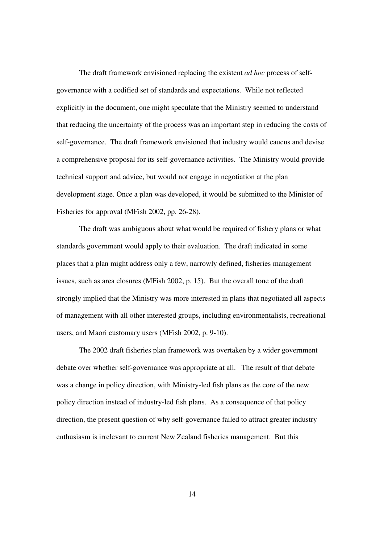The draft framework envisioned replacing the existent *ad hoc* process of selfgovernance with a codified set of standards and expectations. While not reflected explicitly in the document, one might speculate that the Ministry seemed to understand that reducing the uncertainty of the process was an important step in reducing the costs of self-governance. The draft framework envisioned that industry would caucus and devise a comprehensive proposal for its self-governance activities. The Ministry would provide technical support and advice, but would not engage in negotiation at the plan development stage. Once a plan was developed, it would be submitted to the Minister of Fisheries for approval (MFish 2002, pp. 26-28).

The draft was ambiguous about what would be required of fishery plans or what standards government would apply to their evaluation. The draft indicated in some places that a plan might address only a few, narrowly defined, fisheries management issues, such as area closures (MFish 2002, p. 15). But the overall tone of the draft strongly implied that the Ministry was more interested in plans that negotiated all aspects of management with all other interested groups, including environmentalists, recreational users, and Maori customary users (MFish 2002, p. 9-10).

The 2002 draft fisheries plan framework was overtaken by a wider government debate over whether self-governance was appropriate at all. The result of that debate was a change in policy direction, with Ministry-led fish plans as the core of the new policy direction instead of industry-led fish plans. As a consequence of that policy direction, the present question of why self-governance failed to attract greater industry enthusiasm is irrelevant to current New Zealand fisheries management. But this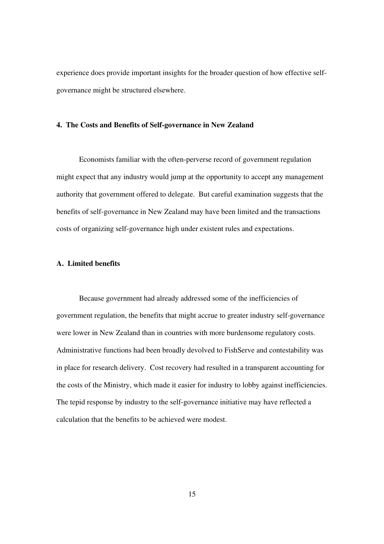experience does provide important insights for the broader question of how effective selfgovernance might be structured elsewhere.

#### **4. The Costs and Benefits of Self-governance in New Zealand**

Economists familiar with the often-perverse record of government regulation might expect that any industry would jump at the opportunity to accept any management authority that government offered to delegate. But careful examination suggests that the benefits of self-governance in New Zealand may have been limited and the transactions costs of organizing self-governance high under existent rules and expectations.

### **A. Limited benefits**

Because government had already addressed some of the inefficiencies of government regulation, the benefits that might accrue to greater industry self-governance were lower in New Zealand than in countries with more burdensome regulatory costs. Administrative functions had been broadly devolved to FishServe and contestability was in place for research delivery. Cost recovery had resulted in a transparent accounting for the costs of the Ministry, which made it easier for industry to lobby against inefficiencies. The tepid response by industry to the self-governance initiative may have reflected a calculation that the benefits to be achieved were modest.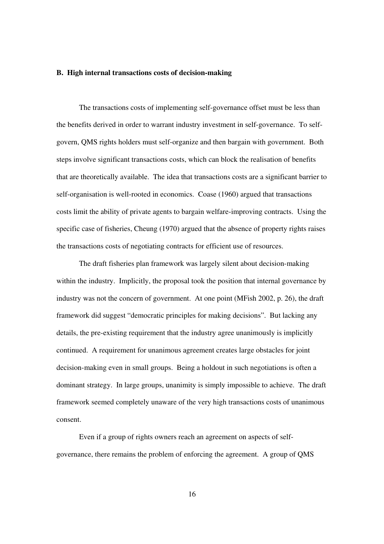#### **B. High internal transactions costs of decision-making**

The transactions costs of implementing self-governance offset must be less than the benefits derived in order to warrant industry investment in self-governance. To selfgovern, QMS rights holders must self-organize and then bargain with government. Both steps involve significant transactions costs, which can block the realisation of benefits that are theoretically available. The idea that transactions costs are a significant barrier to self-organisation is well-rooted in economics. Coase (1960) argued that transactions costs limit the ability of private agents to bargain welfare-improving contracts. Using the specific case of fisheries, Cheung (1970) argued that the absence of property rights raises the transactions costs of negotiating contracts for efficient use of resources.

The draft fisheries plan framework was largely silent about decision-making within the industry. Implicitly, the proposal took the position that internal governance by industry was not the concern of government. At one point (MFish 2002, p. 26), the draft framework did suggest "democratic principles for making decisions". But lacking any details, the pre-existing requirement that the industry agree unanimously is implicitly continued. A requirement for unanimous agreement creates large obstacles for joint decision-making even in small groups. Being a holdout in such negotiations is often a dominant strategy. In large groups, unanimity is simply impossible to achieve. The draft framework seemed completely unaware of the very high transactions costs of unanimous consent.

 Even if a group of rights owners reach an agreement on aspects of selfgovernance, there remains the problem of enforcing the agreement. A group of QMS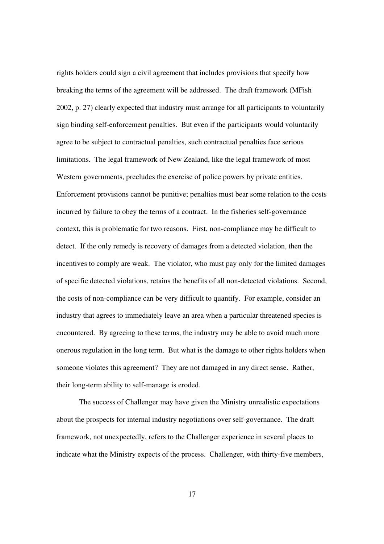rights holders could sign a civil agreement that includes provisions that specify how breaking the terms of the agreement will be addressed. The draft framework (MFish 2002, p. 27) clearly expected that industry must arrange for all participants to voluntarily sign binding self-enforcement penalties. But even if the participants would voluntarily agree to be subject to contractual penalties, such contractual penalties face serious limitations. The legal framework of New Zealand, like the legal framework of most Western governments, precludes the exercise of police powers by private entities. Enforcement provisions cannot be punitive; penalties must bear some relation to the costs incurred by failure to obey the terms of a contract. In the fisheries self-governance context, this is problematic for two reasons. First, non-compliance may be difficult to detect. If the only remedy is recovery of damages from a detected violation, then the incentives to comply are weak. The violator, who must pay only for the limited damages of specific detected violations, retains the benefits of all non-detected violations. Second, the costs of non-compliance can be very difficult to quantify. For example, consider an industry that agrees to immediately leave an area when a particular threatened species is encountered. By agreeing to these terms, the industry may be able to avoid much more onerous regulation in the long term. But what is the damage to other rights holders when someone violates this agreement? They are not damaged in any direct sense. Rather, their long-term ability to self-manage is eroded.

The success of Challenger may have given the Ministry unrealistic expectations about the prospects for internal industry negotiations over self-governance. The draft framework, not unexpectedly, refers to the Challenger experience in several places to indicate what the Ministry expects of the process. Challenger, with thirty-five members,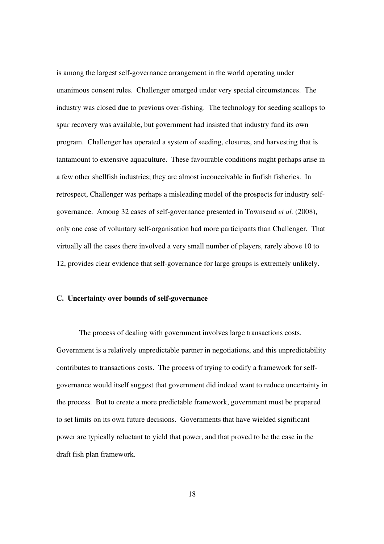is among the largest self-governance arrangement in the world operating under unanimous consent rules. Challenger emerged under very special circumstances. The industry was closed due to previous over-fishing. The technology for seeding scallops to spur recovery was available, but government had insisted that industry fund its own program. Challenger has operated a system of seeding, closures, and harvesting that is tantamount to extensive aquaculture. These favourable conditions might perhaps arise in a few other shellfish industries; they are almost inconceivable in finfish fisheries. In retrospect, Challenger was perhaps a misleading model of the prospects for industry selfgovernance. Among 32 cases of self-governance presented in Townsend *et al.* (2008), only one case of voluntary self-organisation had more participants than Challenger. That virtually all the cases there involved a very small number of players, rarely above 10 to 12, provides clear evidence that self-governance for large groups is extremely unlikely.

### **C. Uncertainty over bounds of self-governance**

The process of dealing with government involves large transactions costs. Government is a relatively unpredictable partner in negotiations, and this unpredictability contributes to transactions costs. The process of trying to codify a framework for selfgovernance would itself suggest that government did indeed want to reduce uncertainty in the process. But to create a more predictable framework, government must be prepared to set limits on its own future decisions. Governments that have wielded significant power are typically reluctant to yield that power, and that proved to be the case in the draft fish plan framework.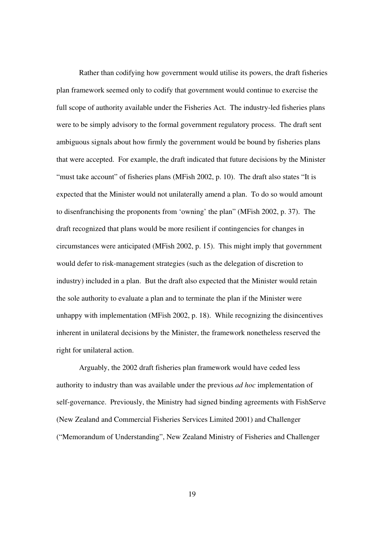Rather than codifying how government would utilise its powers, the draft fisheries plan framework seemed only to codify that government would continue to exercise the full scope of authority available under the Fisheries Act. The industry-led fisheries plans were to be simply advisory to the formal government regulatory process. The draft sent ambiguous signals about how firmly the government would be bound by fisheries plans that were accepted. For example, the draft indicated that future decisions by the Minister "must take account" of fisheries plans (MFish 2002, p. 10). The draft also states "It is expected that the Minister would not unilaterally amend a plan. To do so would amount to disenfranchising the proponents from 'owning' the plan" (MFish 2002, p. 37). The draft recognized that plans would be more resilient if contingencies for changes in circumstances were anticipated (MFish 2002, p. 15). This might imply that government would defer to risk-management strategies (such as the delegation of discretion to industry) included in a plan. But the draft also expected that the Minister would retain the sole authority to evaluate a plan and to terminate the plan if the Minister were unhappy with implementation (MFish 2002, p. 18). While recognizing the disincentives inherent in unilateral decisions by the Minister, the framework nonetheless reserved the right for unilateral action.

Arguably, the 2002 draft fisheries plan framework would have ceded less authority to industry than was available under the previous *ad hoc* implementation of self-governance. Previously, the Ministry had signed binding agreements with FishServe (New Zealand and Commercial Fisheries Services Limited 2001) and Challenger ("Memorandum of Understanding", New Zealand Ministry of Fisheries and Challenger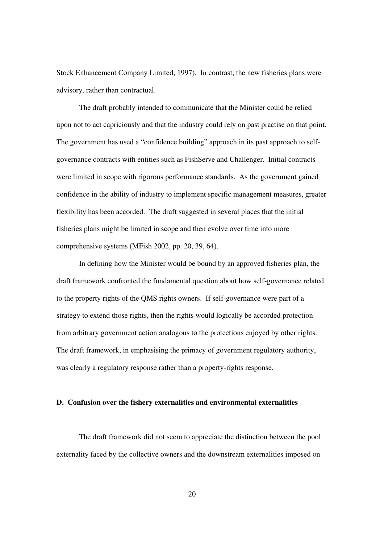Stock Enhancement Company Limited, 1997). In contrast, the new fisheries plans were advisory, rather than contractual.

The draft probably intended to communicate that the Minister could be relied upon not to act capriciously and that the industry could rely on past practise on that point. The government has used a "confidence building" approach in its past approach to selfgovernance contracts with entities such as FishServe and Challenger. Initial contracts were limited in scope with rigorous performance standards. As the government gained confidence in the ability of industry to implement specific management measures, greater flexibility has been accorded. The draft suggested in several places that the initial fisheries plans might be limited in scope and then evolve over time into more comprehensive systems (MFish 2002, pp. 20, 39, 64).

In defining how the Minister would be bound by an approved fisheries plan, the draft framework confronted the fundamental question about how self-governance related to the property rights of the QMS rights owners. If self-governance were part of a strategy to extend those rights, then the rights would logically be accorded protection from arbitrary government action analogous to the protections enjoyed by other rights. The draft framework, in emphasising the primacy of government regulatory authority, was clearly a regulatory response rather than a property-rights response.

#### **D. Confusion over the fishery externalities and environmental externalities**

The draft framework did not seem to appreciate the distinction between the pool externality faced by the collective owners and the downstream externalities imposed on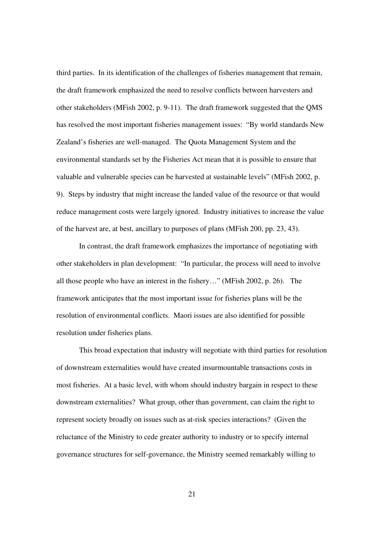third parties. In its identification of the challenges of fisheries management that remain, the draft framework emphasized the need to resolve conflicts between harvesters and other stakeholders (MFish 2002, p. 9-11). The draft framework suggested that the QMS has resolved the most important fisheries management issues: "By world standards New Zealand's fisheries are well-managed. The Quota Management System and the environmental standards set by the Fisheries Act mean that it is possible to ensure that valuable and vulnerable species can be harvested at sustainable levels" (MFish 2002, p. 9). Steps by industry that might increase the landed value of the resource or that would reduce management costs were largely ignored. Industry initiatives to increase the value of the harvest are, at best, ancillary to purposes of plans (MFish 200, pp. 23, 43).

In contrast, the draft framework emphasizes the importance of negotiating with other stakeholders in plan development: "In particular, the process will need to involve all those people who have an interest in the fishery…" (MFish 2002, p. 26). The framework anticipates that the most important issue for fisheries plans will be the resolution of environmental conflicts. Maori issues are also identified for possible resolution under fisheries plans.

This broad expectation that industry will negotiate with third parties for resolution of downstream externalities would have created insurmountable transactions costs in most fisheries. At a basic level, with whom should industry bargain in respect to these downstream externalities? What group, other than government, can claim the right to represent society broadly on issues such as at-risk species interactions? (Given the reluctance of the Ministry to cede greater authority to industry or to specify internal governance structures for self-governance, the Ministry seemed remarkably willing to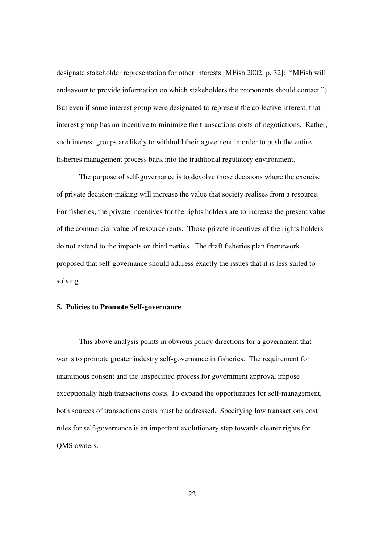designate stakeholder representation for other interests [MFish 2002, p. 32]: "MFish will endeavour to provide information on which stakeholders the proponents should contact.") But even if some interest group were designated to represent the collective interest, that interest group has no incentive to minimize the transactions costs of negotiations. Rather, such interest groups are likely to withhold their agreement in order to push the entire fisheries management process back into the traditional regulatory environment.

The purpose of self-governance is to devolve those decisions where the exercise of private decision-making will increase the value that society realises from a resource. For fisheries, the private incentives for the rights holders are to increase the present value of the commercial value of resource rents. Those private incentives of the rights holders do not extend to the impacts on third parties. The draft fisheries plan framework proposed that self-governance should address exactly the issues that it is less suited to solving.

### **5. Policies to Promote Self-governance**

 This above analysis points in obvious policy directions for a government that wants to promote greater industry self-governance in fisheries. The requirement for unanimous consent and the unspecified process for government approval impose exceptionally high transactions costs. To expand the opportunities for self-management, both sources of transactions costs must be addressed. Specifying low transactions cost rules for self-governance is an important evolutionary step towards clearer rights for QMS owners.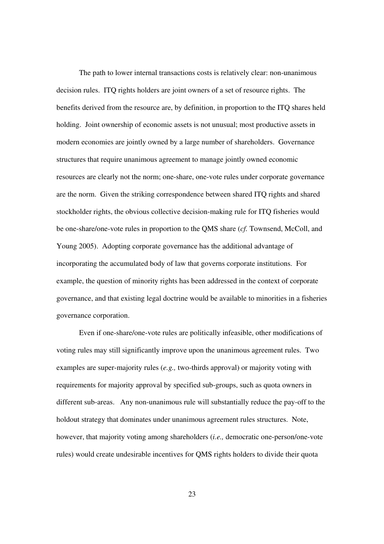The path to lower internal transactions costs is relatively clear: non-unanimous decision rules. ITQ rights holders are joint owners of a set of resource rights. The benefits derived from the resource are, by definition, in proportion to the ITQ shares held holding. Joint ownership of economic assets is not unusual; most productive assets in modern economies are jointly owned by a large number of shareholders. Governance structures that require unanimous agreement to manage jointly owned economic resources are clearly not the norm; one-share, one-vote rules under corporate governance are the norm. Given the striking correspondence between shared ITQ rights and shared stockholder rights, the obvious collective decision-making rule for ITQ fisheries would be one-share/one-vote rules in proportion to the QMS share (*cf.* Townsend, McColl, and Young 2005). Adopting corporate governance has the additional advantage of incorporating the accumulated body of law that governs corporate institutions. For example, the question of minority rights has been addressed in the context of corporate governance, and that existing legal doctrine would be available to minorities in a fisheries governance corporation.

Even if one-share/one-vote rules are politically infeasible, other modifications of voting rules may still significantly improve upon the unanimous agreement rules. Two examples are super-majority rules (*e.g.,* two-thirds approval) or majority voting with requirements for majority approval by specified sub-groups, such as quota owners in different sub-areas. Any non-unanimous rule will substantially reduce the pay-off to the holdout strategy that dominates under unanimous agreement rules structures. Note, however, that majority voting among shareholders (*i.e.,* democratic one-person/one-vote rules) would create undesirable incentives for QMS rights holders to divide their quota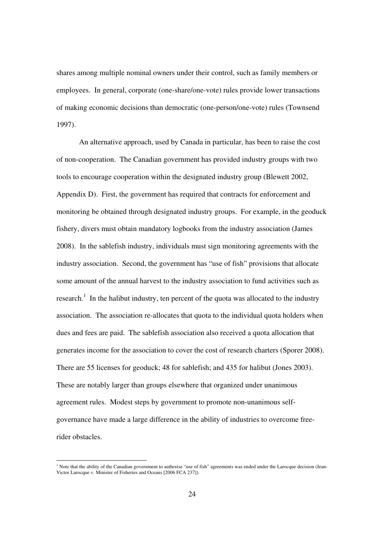shares among multiple nominal owners under their control, such as family members or employees. In general, corporate (one-share/one-vote) rules provide lower transactions of making economic decisions than democratic (one-person/one-vote) rules (Townsend 1997).

An alternative approach, used by Canada in particular, has been to raise the cost of non-cooperation. The Canadian government has provided industry groups with two tools to encourage cooperation within the designated industry group (Blewett 2002, Appendix D). First, the government has required that contracts for enforcement and monitoring be obtained through designated industry groups. For example, in the geoduck fishery, divers must obtain mandatory logbooks from the industry association (James 2008). In the sablefish industry, individuals must sign monitoring agreements with the industry association. Second, the government has "use of fish" provisions that allocate some amount of the annual harvest to the industry association to fund activities such as research.<sup>1</sup> In the halibut industry, ten percent of the quota was allocated to the industry association. The association re-allocates that quota to the individual quota holders when dues and fees are paid. The sablefish association also received a quota allocation that generates income for the association to cover the cost of research charters (Sporer 2008). There are 55 licenses for geoduck; 48 for sablefish; and 435 for halibut (Jones 2003). These are notably larger than groups elsewhere that organized under unanimous agreement rules. Modest steps by government to promote non-unanimous selfgovernance have made a large difference in the ability of industries to overcome freerider obstacles.

<sup>1&</sup>lt;br>Note that the ability of the Canadian government to authorise "use of fish" agreements was ended under the Larocque decision (Jean-Victor Larocque v. Minister of Fisheries and Oceans [2006 FCA 237]).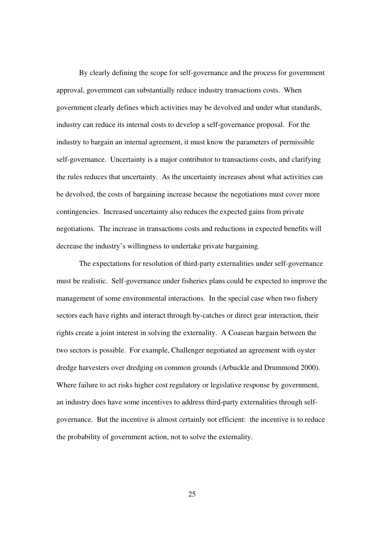By clearly defining the scope for self-governance and the process for government approval, government can substantially reduce industry transactions costs. When government clearly defines which activities may be devolved and under what standards, industry can reduce its internal costs to develop a self-governance proposal. For the industry to bargain an internal agreement, it must know the parameters of permissible self-governance. Uncertainty is a major contributor to transactions costs, and clarifying the rules reduces that uncertainty. As the uncertainty increases about what activities can be devolved, the costs of bargaining increase because the negotiations must cover more contingencies. Increased uncertainty also reduces the expected gains from private negotiations. The increase in transactions costs and reductions in expected benefits will decrease the industry's willingness to undertake private bargaining.

 The expectations for resolution of third-party externalities under self-governance must be realistic. Self-governance under fisheries plans could be expected to improve the management of some environmental interactions. In the special case when two fishery sectors each have rights and interact through by-catches or direct gear interaction, their rights create a joint interest in solving the externality. A Coasean bargain between the two sectors is possible. For example, Challenger negotiated an agreement with oyster dredge harvesters over dredging on common grounds (Arbuckle and Drummond 2000). Where failure to act risks higher cost regulatory or legislative response by government, an industry does have some incentives to address third-party externalities through selfgovernance. But the incentive is almost certainly not efficient: the incentive is to reduce the probability of government action, not to solve the externality.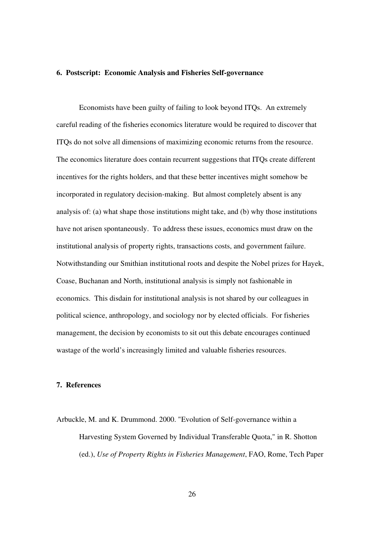#### **6. Postscript: Economic Analysis and Fisheries Self-governance**

 Economists have been guilty of failing to look beyond ITQs. An extremely careful reading of the fisheries economics literature would be required to discover that ITQs do not solve all dimensions of maximizing economic returns from the resource. The economics literature does contain recurrent suggestions that ITQs create different incentives for the rights holders, and that these better incentives might somehow be incorporated in regulatory decision-making. But almost completely absent is any analysis of: (a) what shape those institutions might take, and (b) why those institutions have not arisen spontaneously. To address these issues, economics must draw on the institutional analysis of property rights, transactions costs, and government failure. Notwithstanding our Smithian institutional roots and despite the Nobel prizes for Hayek, Coase, Buchanan and North, institutional analysis is simply not fashionable in economics. This disdain for institutional analysis is not shared by our colleagues in political science, anthropology, and sociology nor by elected officials. For fisheries management, the decision by economists to sit out this debate encourages continued wastage of the world's increasingly limited and valuable fisheries resources.

# **7. References**

Arbuckle, M. and K. Drummond. 2000. "Evolution of Self-governance within a Harvesting System Governed by Individual Transferable Quota," in R. Shotton (ed.), *Use of Property Rights in Fisheries Management*, FAO, Rome, Tech Paper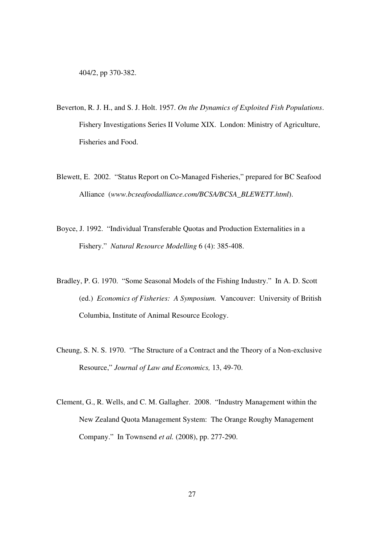- Beverton, R. J. H., and S. J. Holt. 1957. *On the Dynamics of Exploited Fish Populations*. Fishery Investigations Series II Volume XIX. London: Ministry of Agriculture, Fisheries and Food.
- Blewett, E. 2002. "Status Report on Co-Managed Fisheries," prepared for BC Seafood Alliance (*www.bcseafoodalliance.com/BCSA/BCSA\_BLEWETT.html*).
- Boyce, J. 1992. "Individual Transferable Quotas and Production Externalities in a Fishery." *Natural Resource Modelling* 6 (4): 385-408.
- Bradley, P. G. 1970. "Some Seasonal Models of the Fishing Industry." In A. D. Scott (ed.) *Economics of Fisheries: A Symposium.* Vancouver: University of British Columbia, Institute of Animal Resource Ecology.
- Cheung, S. N. S. 1970. "The Structure of a Contract and the Theory of a Non-exclusive Resource," *Journal of Law and Economics,* 13, 49-70.
- Clement, G., R. Wells, and C. M. Gallagher. 2008. "Industry Management within the New Zealand Quota Management System: The Orange Roughy Management Company." In Townsend *et al.* (2008), pp. 277-290.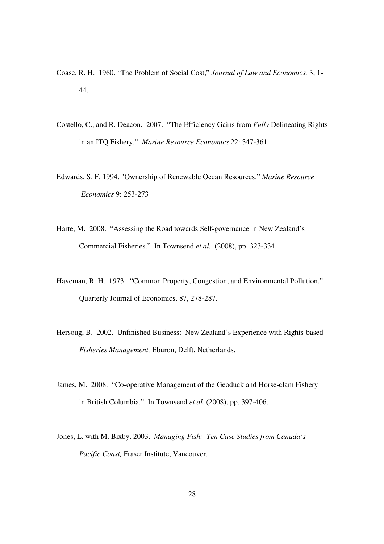- Coase, R. H. 1960. "The Problem of Social Cost," *Journal of Law and Economics,* 3, 1- 44.
- Costello, C., and R. Deacon. 2007. "The Efficiency Gains from *Fully* Delineating Rights in an ITQ Fishery." *Marine Resource Economics* 22: 347-361.
- Edwards, S. F. 1994. "Ownership of Renewable Ocean Resources." *Marine Resource Economics* 9: 253-273
- Harte, M. 2008. "Assessing the Road towards Self-governance in New Zealand's Commercial Fisheries." In Townsend *et al.* (2008), pp. 323-334.
- Haveman, R. H. 1973. "Common Property, Congestion, and Environmental Pollution," Quarterly Journal of Economics, 87, 278-287.
- Hersoug, B. 2002. Unfinished Business: New Zealand's Experience with Rights-based *Fisheries Management,* Eburon, Delft, Netherlands.
- James, M. 2008. "Co-operative Management of the Geoduck and Horse-clam Fishery in British Columbia." In Townsend *et al.* (2008), pp. 397-406.
- Jones, L. with M. Bixby. 2003. *Managing Fish: Ten Case Studies from Canada's Pacific Coast,* Fraser Institute, Vancouver.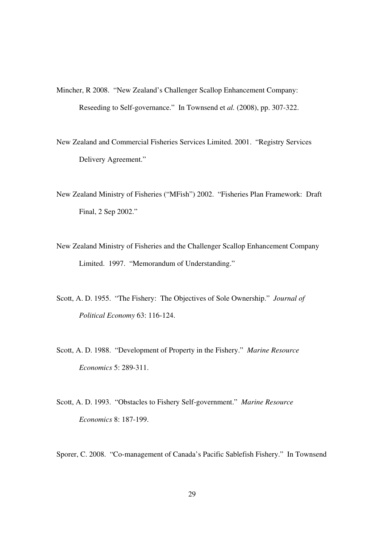- Mincher, R 2008. "New Zealand's Challenger Scallop Enhancement Company: Reseeding to Self-governance." In Townsend et *al.* (2008), pp. 307-322.
- New Zealand and Commercial Fisheries Services Limited. 2001. "Registry Services Delivery Agreement."
- New Zealand Ministry of Fisheries ("MFish") 2002. "Fisheries Plan Framework: Draft Final, 2 Sep 2002."
- New Zealand Ministry of Fisheries and the Challenger Scallop Enhancement Company Limited. 1997. "Memorandum of Understanding."
- Scott, A. D. 1955. "The Fishery: The Objectives of Sole Ownership." *Journal of Political Economy* 63: 116-124.
- Scott, A. D. 1988. "Development of Property in the Fishery." *Marine Resource Economics* 5: 289-311.
- Scott, A. D. 1993. "Obstacles to Fishery Self-government." *Marine Resource Economics* 8: 187-199.

Sporer, C. 2008. "Co-management of Canada's Pacific Sablefish Fishery." In Townsend